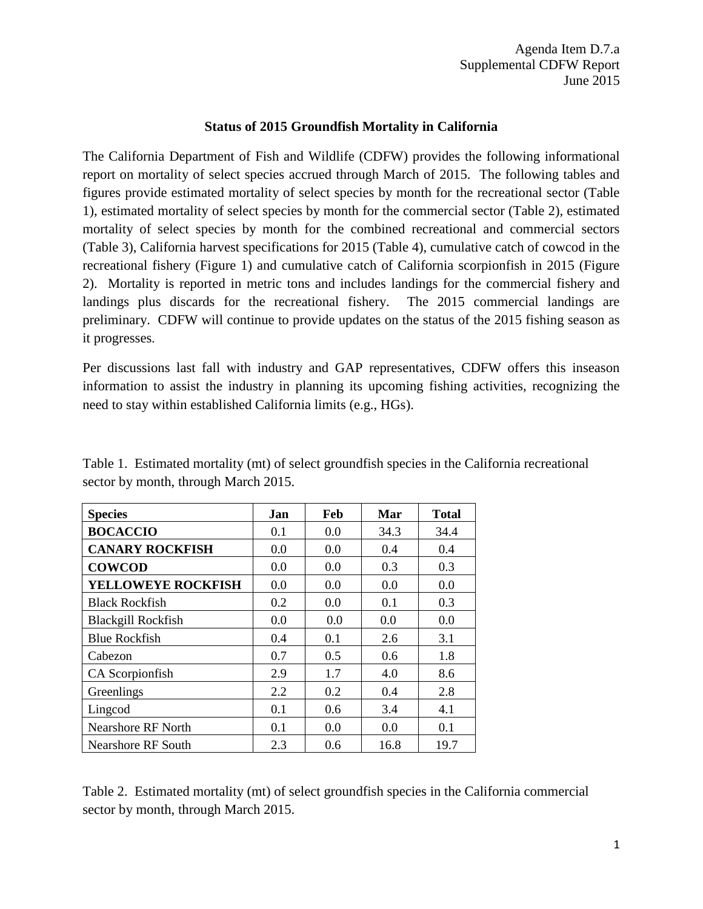## **Status of 2015 Groundfish Mortality in California**

The California Department of Fish and Wildlife (CDFW) provides the following informational report on mortality of select species accrued through March of 2015. The following tables and figures provide estimated mortality of select species by month for the recreational sector (Table 1), estimated mortality of select species by month for the commercial sector (Table 2), estimated mortality of select species by month for the combined recreational and commercial sectors (Table 3), California harvest specifications for 2015 (Table 4), cumulative catch of cowcod in the recreational fishery (Figure 1) and cumulative catch of California scorpionfish in 2015 (Figure 2). Mortality is reported in metric tons and includes landings for the commercial fishery and landings plus discards for the recreational fishery. The 2015 commercial landings are preliminary. CDFW will continue to provide updates on the status of the 2015 fishing season as it progresses.

Per discussions last fall with industry and GAP representatives, CDFW offers this inseason information to assist the industry in planning its upcoming fishing activities, recognizing the need to stay within established California limits (e.g., HGs).

| <b>Species</b>            | Jan | Feb | Mar  | <b>Total</b> |
|---------------------------|-----|-----|------|--------------|
| <b>BOCACCIO</b>           | 0.1 | 0.0 | 34.3 | 34.4         |
| <b>CANARY ROCKFISH</b>    | 0.0 | 0.0 | 0.4  | 0.4          |
| <b>COWCOD</b>             | 0.0 | 0.0 | 0.3  | 0.3          |
| YELLOWEYE ROCKFISH        | 0.0 | 0.0 | 0.0  | 0.0          |
| <b>Black Rockfish</b>     | 0.2 | 0.0 | 0.1  | 0.3          |
| <b>Blackgill Rockfish</b> | 0.0 | 0.0 | 0.0  | 0.0          |
| <b>Blue Rockfish</b>      | 0.4 | 0.1 | 2.6  | 3.1          |
| Cabezon                   | 0.7 | 0.5 | 0.6  | 1.8          |
| CA Scorpionfish           | 2.9 | 1.7 | 4.0  | 8.6          |
| Greenlings                | 2.2 | 0.2 | 0.4  | 2.8          |
| Lingcod                   | 0.1 | 0.6 | 3.4  | 4.1          |
| <b>Nearshore RF North</b> | 0.1 | 0.0 | 0.0  | 0.1          |
| Nearshore RF South        | 2.3 | 0.6 | 16.8 | 19.7         |

Table 1. Estimated mortality (mt) of select groundfish species in the California recreational sector by month, through March 2015.

Table 2. Estimated mortality (mt) of select groundfish species in the California commercial sector by month, through March 2015.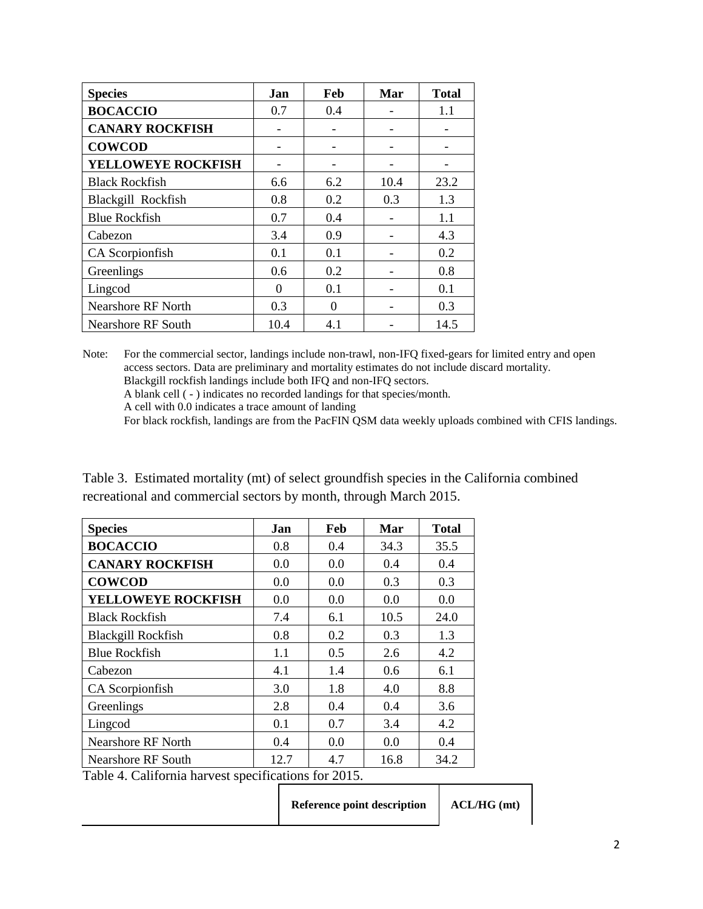| <b>Species</b>            | Jan  | Feb | Mar  | <b>Total</b> |
|---------------------------|------|-----|------|--------------|
| <b>BOCACCIO</b>           | 0.7  | 0.4 |      | 1.1          |
| <b>CANARY ROCKFISH</b>    |      |     |      |              |
| <b>COWCOD</b>             |      |     |      |              |
| <b>YELLOWEYE ROCKFISH</b> |      |     |      |              |
| <b>Black Rockfish</b>     | 6.6  | 6.2 | 10.4 | 23.2         |
| Blackgill Rockfish        | 0.8  | 0.2 | 0.3  | 1.3          |
| <b>Blue Rockfish</b>      | 0.7  | 0.4 |      | 1.1          |
| Cabezon                   | 3.4  | 0.9 |      | 4.3          |
| CA Scorpionfish           | 0.1  | 0.1 |      | 0.2          |
| Greenlings                | 0.6  | 0.2 |      | 0.8          |
| Lingcod                   | 0    | 0.1 |      | 0.1          |
| <b>Nearshore RF North</b> | 0.3  | 0   |      | 0.3          |
| <b>Nearshore RF South</b> | 10.4 | 4.1 |      | 14.5         |

Note: For the commercial sector, landings include non-trawl, non-IFQ fixed-gears for limited entry and open access sectors. Data are preliminary and mortality estimates do not include discard mortality. Blackgill rockfish landings include both IFQ and non-IFQ sectors. A blank cell ( - ) indicates no recorded landings for that species/month.

A cell with 0.0 indicates a trace amount of landing

For black rockfish, landings are from the PacFIN QSM data weekly uploads combined with CFIS landings.

| Table 3. Estimated mortality (mt) of select groundfish species in the California combined |  |  |  |
|-------------------------------------------------------------------------------------------|--|--|--|
| recreational and commercial sectors by month, through March 2015.                         |  |  |  |

| <b>Species</b>                                       | Jan  | Feb | Mar  | Total |  |
|------------------------------------------------------|------|-----|------|-------|--|
| <b>BOCACCIO</b>                                      | 0.8  | 0.4 | 34.3 | 35.5  |  |
| <b>CANARY ROCKFISH</b>                               | 0.0  | 0.0 | 0.4  | 0.4   |  |
| <b>COWCOD</b>                                        | 0.0  | 0.0 | 0.3  | 0.3   |  |
| YELLOWEYE ROCKFISH                                   | 0.0  | 0.0 | 0.0  | 0.0   |  |
| <b>Black Rockfish</b>                                | 7.4  | 6.1 | 10.5 | 24.0  |  |
| <b>Blackgill Rockfish</b>                            | 0.8  | 0.2 | 0.3  | 1.3   |  |
| <b>Blue Rockfish</b>                                 | 1.1  | 0.5 | 2.6  | 4.2   |  |
| Cabezon                                              | 4.1  | 1.4 | 0.6  | 6.1   |  |
| CA Scorpionfish                                      | 3.0  | 1.8 | 4.0  | 8.8   |  |
| Greenlings                                           | 2.8  | 0.4 | 0.4  | 3.6   |  |
| Lingcod                                              | 0.1  | 0.7 | 3.4  | 4.2   |  |
| <b>Nearshore RF North</b>                            | 0.4  | 0.0 | 0.0  | 0.4   |  |
| Nearshore RF South                                   | 12.7 | 4.7 | 16.8 | 34.2  |  |
| Table 4. California harvest specifications for 2015. |      |     |      |       |  |
|                                                      |      |     |      |       |  |

| <b>Reference point description</b> | $ACL/HG$ (mt) |
|------------------------------------|---------------|
|                                    |               |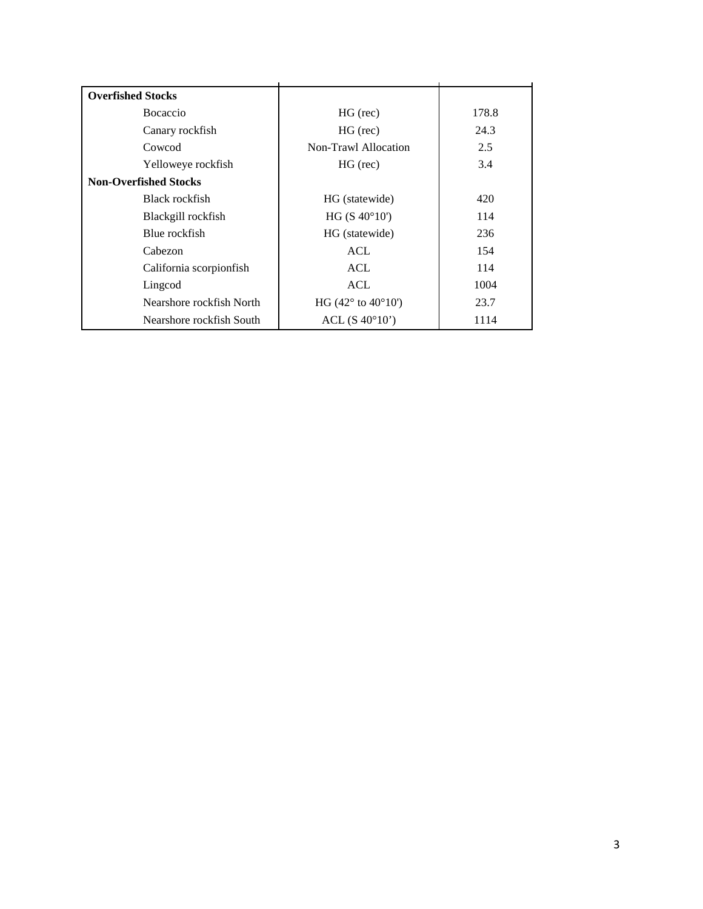| <b>Overfished Stocks</b>     |                                             |               |
|------------------------------|---------------------------------------------|---------------|
| <b>B</b> ocaccio             | $HG$ (rec)                                  | 178.8         |
| Canary rockfish              | $HG$ (rec)                                  | 24.3          |
| Cowcod                       | Non-Trawl Allocation                        | $2.5^{\circ}$ |
| Yelloweye rockfish           | $HG$ (rec)                                  | 3.4           |
| <b>Non-Overfished Stocks</b> |                                             |               |
| Black rockfish               | HG (statewide)                              | 420           |
| Blackgill rockfish           | HG (S 40°10')                               | 114           |
| Blue rockfish                | HG (statewide)                              | 236           |
| Cabezon                      | ACL                                         | 154           |
| California scorpionfish      | ACL                                         | 114           |
| Lingcod                      | <b>ACL</b>                                  | 1004          |
| Nearshore rockfish North     | HG $(42^{\circ}$ to $40^{\circ}10^{\circ})$ | 23.7          |
| Nearshore rockfish South     | $ACL$ (S $40^{\circ}10'$ )                  | 1114          |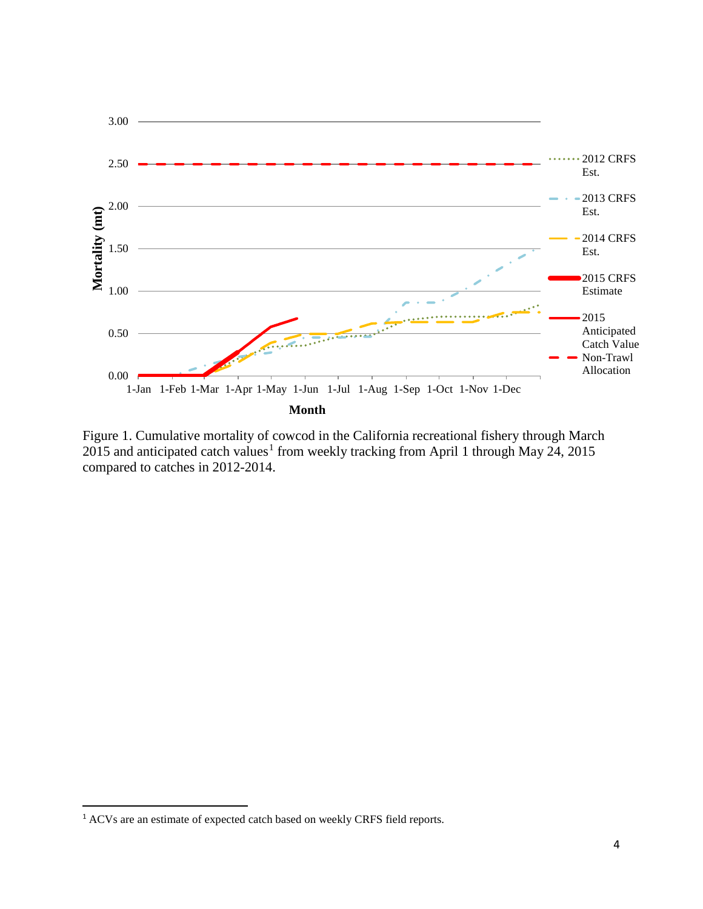

Figure 1. Cumulative mortality of cowcod in the California recreational fishery through March 20[1](#page-3-0)5 and anticipated catch values<sup>1</sup> from weekly tracking from April 1 through May 24, 2015 compared to catches in 2012-2014.

l

<span id="page-3-0"></span><sup>&</sup>lt;sup>1</sup> ACVs are an estimate of expected catch based on weekly CRFS field reports.